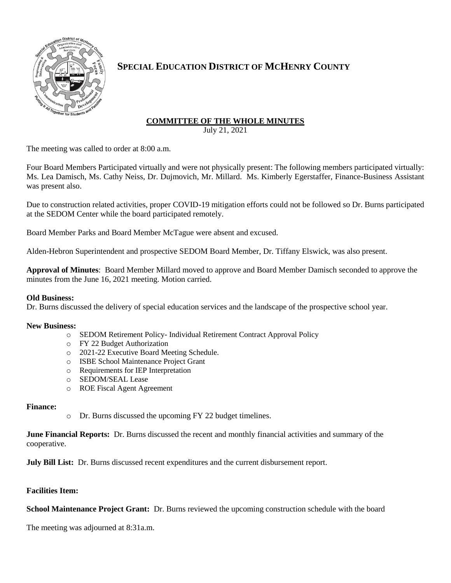

## **SPECIAL EDUCATION DISTRICT OF MCHENRY COUNTY**

# **COMMITTEE OF THE WHOLE MINUTES**

July 21, 2021

The meeting was called to order at 8:00 a.m.

Four Board Members Participated virtually and were not physically present: The following members participated virtually: Ms. Lea Damisch, Ms. Cathy Neiss, Dr. Dujmovich, Mr. Millard. Ms. Kimberly Egerstaffer, Finance-Business Assistant was present also.

Due to construction related activities, proper COVID-19 mitigation efforts could not be followed so Dr. Burns participated at the SEDOM Center while the board participated remotely.

Board Member Parks and Board Member McTague were absent and excused.

Alden-Hebron Superintendent and prospective SEDOM Board Member, Dr. Tiffany Elswick, was also present.

**Approval of Minutes**: Board Member Millard moved to approve and Board Member Damisch seconded to approve the minutes from the June 16, 2021 meeting. Motion carried.

### **Old Business:**

Dr. Burns discussed the delivery of special education services and the landscape of the prospective school year.

### **New Business:**

- o SEDOM Retirement Policy- Individual Retirement Contract Approval Policy
- o FY 22 Budget Authorization
- o 2021-22 Executive Board Meeting Schedule.
- o ISBE School Maintenance Project Grant
- o Requirements for IEP Interpretation
- o SEDOM/SEAL Lease
- o ROE Fiscal Agent Agreement

### **Finance:**

o Dr. Burns discussed the upcoming FY 22 budget timelines.

**June Financial Reports:** Dr. Burns discussed the recent and monthly financial activities and summary of the cooperative.

**July Bill List:** Dr. Burns discussed recent expenditures and the current disbursement report.

### **Facilities Item:**

**School Maintenance Project Grant:** Dr. Burns reviewed the upcoming construction schedule with the board

The meeting was adjourned at 8:31a.m.